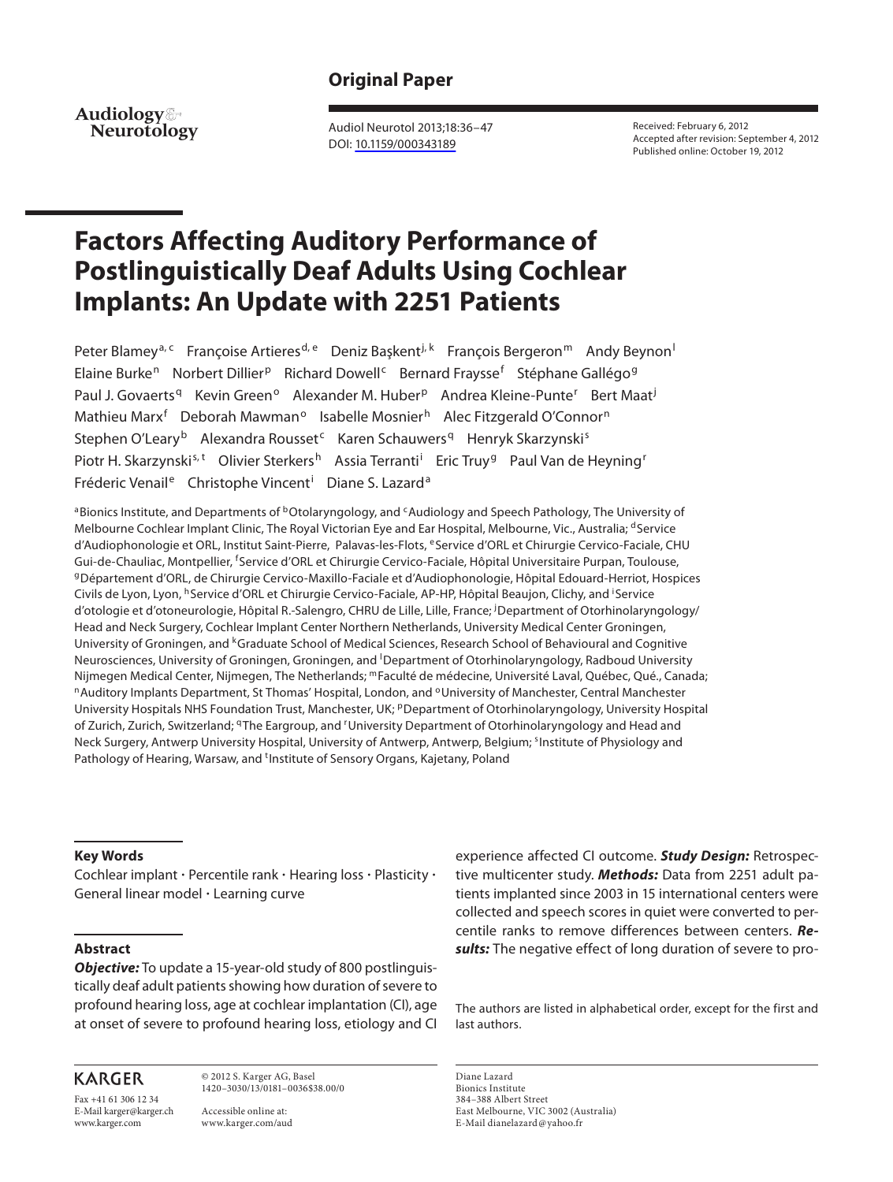# **Original Paper**

**Neurotology Audiology**

 Audiol Neurotol 2013;18:36–47 DOI: [10.1159/000343189](http://dx.doi.org/10.1159%2F000343189)

 Received: February 6, 2012 Accepted after revision: September 4, 2012 Published online: October 19, 2012

# **Factors Affecting Auditory Performance of Postlinguistically Deaf Adults Using Cochlear Implants: An Update with 2251 Patients**

Peter Blamey<sup>a, c</sup> Françoise Artieres<sup>d, e</sup> Deniz Başkent<sup>i, k</sup> François Bergeron<sup>m</sup> Andy Beynon<sup>1</sup> Elaine Burke<sup>n</sup> Norbert Dillier<sup>p</sup> Richard Dowell<sup>c</sup> Bernard Fraysse<sup>f</sup> Stéphane Gallégo<sup>g</sup> Paul J. Govaerts<sup>q</sup> Kevin Green<sup>o</sup> Alexander M. Huber<sup>p</sup> Andrea Kleine-Punte<sup>r</sup> Bert Maat<sup>j</sup> Mathieu Marx<sup>f</sup> Deborah Mawman<sup>o</sup> Isabelle Mosnier<sup>h</sup> Alec Fitzgerald O'Connor<sup>n</sup> Stephen O'Leary<sup>b</sup> Alexandra Rousset<sup>c</sup> Karen Schauwers<sup>q</sup> Henryk Skarzynski<sup>s</sup> Piotr H. Skarzynski<sup>s, t</sup> Olivier Sterkers<sup>h</sup> Assia Terranti<sup>i</sup> Eric Truy<sup>g</sup> Paul Van de Heyning<sup>r</sup> Fréderic Venail<sup>e</sup> Christophe Vincent<sup>i</sup> Diane S. Lazard<sup>a</sup>

<sup>a</sup> Bionics Institute, and Departments of <sup>b</sup>Otolaryngology, and <sup>c</sup>Audiology and Speech Pathology, The University of Melbourne Cochlear Implant Clinic, The Royal Victorian Eye and Ear Hospital, Melbourne, Vic., Australia; dService d'Audiophonologie et ORL, Institut Saint-Pierre, Palavas-les-Flots, eService d'ORL et Chirurgie Cervico-Faciale, CHU Gui-de-Chauliac, Montpellier, <sup>f</sup>Service d'ORL et Chirurgie Cervico-Faciale, Hôpital Universitaire Purpan, Toulouse, <sup>g</sup>Département d'ORL, de Chirurgie Cervico-Maxillo-Faciale et d'Audiophonologie, Hôpital Edouard-Herriot, Hospices Civils de Lyon, Lyon, <sup>h</sup> Service d'ORL et Chirurgie Cervico-Faciale, AP-HP, Hôpital Beaujon, Clichy, and <sup>i</sup> Service d'otologie et d'otoneurologie, Hôpital R.-Salengro, CHRU de Lille, Lille, France; <sup>j</sup>Department of Otorhinolaryngology/ Head and Neck Surgery, Cochlear Implant Center Northern Netherlands, University Medical Center Groningen, University of Groningen, and <sup>k</sup> Graduate School of Medical Sciences, Research School of Behavioural and Cognitive Neurosciences, University of Groningen, Groningen, and <sup>I</sup>Department of Otorhinolaryngology, Radboud University Nijmegen Medical Center, Nijmegen, The Netherlands; <sup>m</sup>Faculté de médecine, Université Laval, Québec, Qué., Canada;<br><sup>n</sup>Auditory Implants Department, St Thomas' Hospital, London, and <sup>o</sup>University of Manchester, Central Man University Hospitals NHS Foundation Trust, Manchester, UK; PDepartment of Otorhinolaryngology, University Hospital of Zurich, Zurich, Switzerland; <sup>q</sup>The Eargroup, and <sup>r</sup>University Department of Otorhinolaryngology and Head and Neck Surgery, Antwerp University Hospital, University of Antwerp, Antwerp, Belgium; <sup>s</sup>Institute of Physiology and Pathology of Hearing, Warsaw, and <sup>t</sup>Institute of Sensory Organs, Kajetany, Poland

#### **Key Words**

Cochlear implant · Percentile rank · Hearing loss · Plasticity · General linear model - Learning curve

#### **Abstract**

*Objective:* To update a 15-year-old study of 800 postlinguistically deaf adult patients showing how duration of severe to profound hearing loss, age at cochlear implantation (CI), age at onset of severe to profound hearing loss, etiology and CI

## **KARGER**

Fax +41 61 306 12 34 E-Mail karger@karger.ch www.karger.com

 © 2012 S. Karger AG, Basel 1420–3030/13/0181–0036\$38.00/0

 Accessible online at: www.karger.com/aud experience affected CI outcome. *Study Design:* Retrospective multicenter study. *Methods:* Data from 2251 adult patients implanted since 2003 in 15 international centers were collected and speech scores in quiet were converted to percentile ranks to remove differences between centers. *Results:* The negative effect of long duration of severe to pro-

 The authors are listed in alphabetical order, except for the first and last authors.

 Diane Lazard Bionics Institute 384–388 Albert Street East Melbourne, VIC 3002 (Australia) E-Mail dianelazard @ yahoo.fr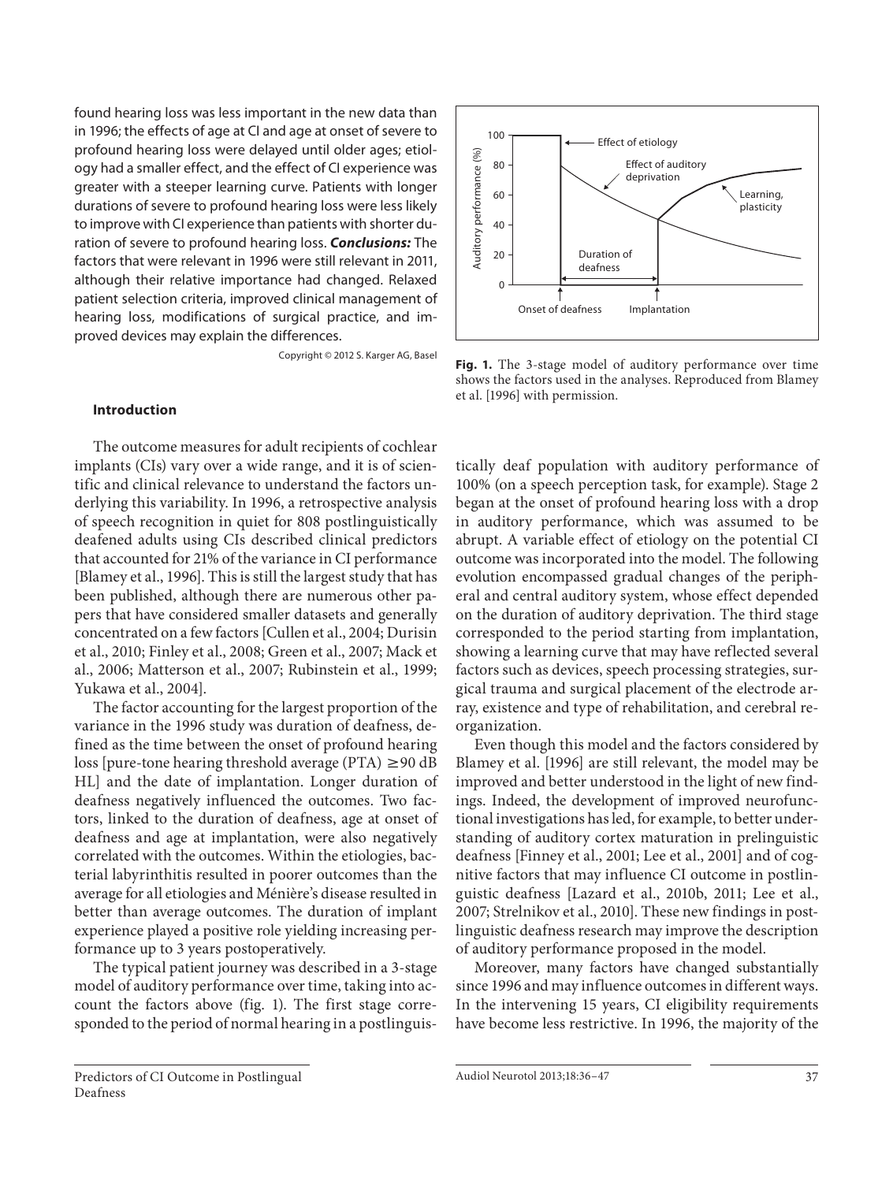found hearing loss was less important in the new data than in 1996; the effects of age at CI and age at onset of severe to profound hearing loss were delayed until older ages; etiology had a smaller effect, and the effect of CI experience was greater with a steeper learning curve. Patients with longer durations of severe to profound hearing loss were less likely to improve with CI experience than patients with shorter duration of severe to profound hearing loss. *Conclusions:* The factors that were relevant in 1996 were still relevant in 2011, although their relative importance had changed. Relaxed patient selection criteria, improved clinical management of hearing loss, modifications of surgical practice, and improved devices may explain the differences.

Copyright © 2012 S. Karger AG, Basel

#### **Introduction**

 The outcome measures for adult recipients of cochlear implants (CIs) vary over a wide range, and it is of scientific and clinical relevance to understand the factors underlying this variability. In 1996, a retrospective analysis of speech recognition in quiet for 808 postlinguistically deafened adults using CIs described clinical predictors that accounted for 21% of the variance in CI performance [Blamey et al., 1996]. This is still the largest study that has been published, although there are numerous other papers that have considered smaller datasets and generally concentrated on a few factors [Cullen et al., 2004; Durisin et al., 2010; Finley et al., 2008; Green et al., 2007; Mack et al., 2006; Matterson et al., 2007; Rubinstein et al., 1999; Yukawa et al., 2004].

 The factor accounting for the largest proportion of the variance in the 1996 study was duration of deafness, defined as the time between the onset of profound hearing loss [pure-tone hearing threshold average (PTA)  $\geq$ 90 dB HL] and the date of implantation. Longer duration of deafness negatively influenced the outcomes. Two factors, linked to the duration of deafness, age at onset of deafness and age at implantation, were also negatively correlated with the outcomes. Within the etiologies, bacterial labyrinthitis resulted in poorer outcomes than the average for all etiologies and Ménière's disease resulted in better than average outcomes. The duration of implant experience played a positive role yielding increasing performance up to 3 years postoperatively.

 The typical patient journey was described in a 3-stage model of auditory performance over time, taking into account the factors above (fig. 1). The first stage corresponded to the period of normal hearing in a postlinguis-



**Fig. 1.** The 3-stage model of auditory performance over time shows the factors used in the analyses. Reproduced from Blamey et al. [1996] with permission.

tically deaf population with auditory performance of 100% (on a speech perception task, for example). Stage 2 began at the onset of profound hearing loss with a drop in auditory performance, which was assumed to be abrupt. A variable effect of etiology on the potential CI outcome was incorporated into the model. The following evolution encompassed gradual changes of the peripheral and central auditory system, whose effect depended on the duration of auditory deprivation. The third stage corresponded to the period starting from implantation, showing a learning curve that may have reflected several factors such as devices, speech processing strategies, surgical trauma and surgical placement of the electrode array, existence and type of rehabilitation, and cerebral reorganization.

 Even though this model and the factors considered by Blamey et al. [1996] are still relevant, the model may be improved and better understood in the light of new findings. Indeed, the development of improved neurofunctional investigations has led, for example, to better understanding of auditory cortex maturation in prelinguistic deafness [Finney et al., 2001; Lee et al., 2001] and of cognitive factors that may influence CI outcome in postlinguistic deafness [Lazard et al., 2010b, 2011; Lee et al., 2007; Strelnikov et al., 2010]. These new findings in postlinguistic deafness research may improve the description of auditory performance proposed in the model.

 Moreover, many factors have changed substantially since 1996 and may influence outcomes in different ways. In the intervening 15 years, CI eligibility requirements have become less restrictive. In 1996, the majority of the

Predictors of CI Outcome in Postlingual Deafness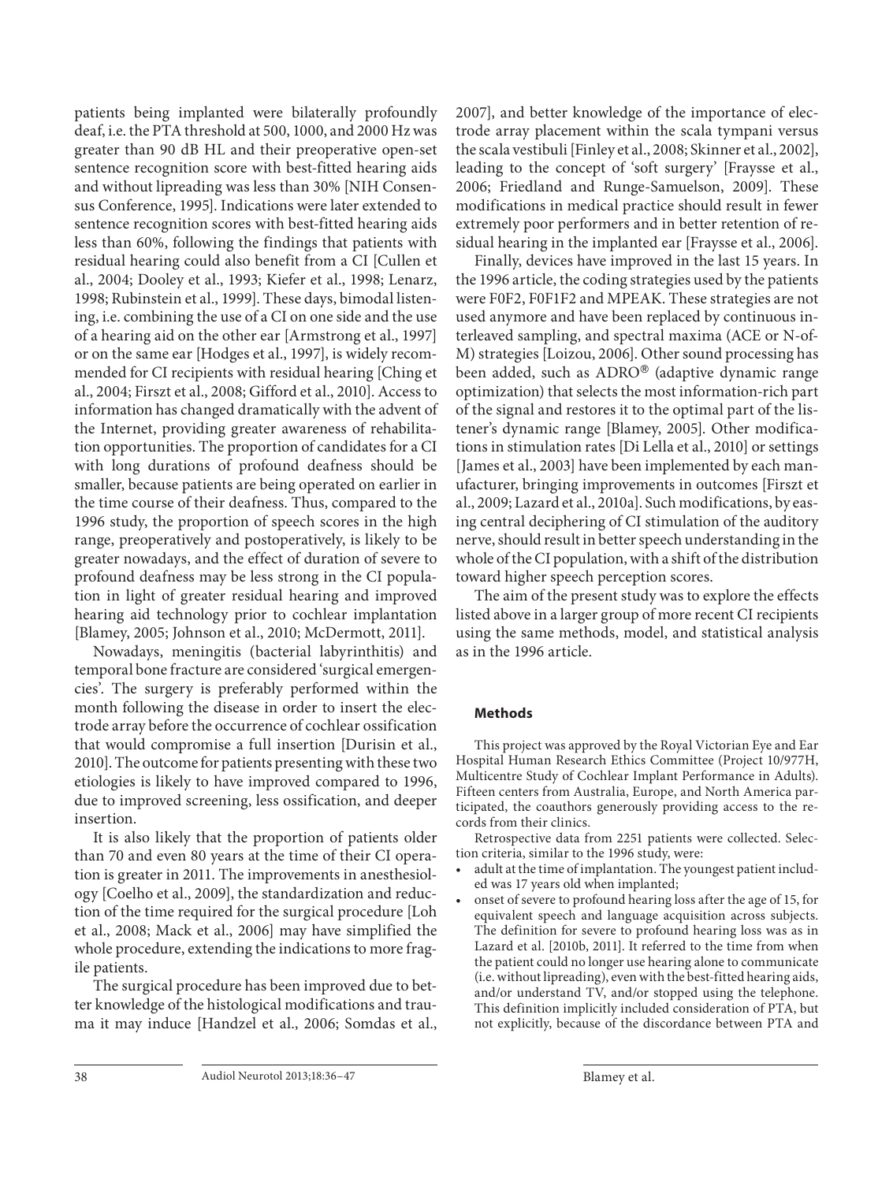patients being implanted were bilaterally profoundly deaf, i.e. the PTA threshold at 500, 1000, and 2000 Hz was greater than 90 dB HL and their preoperative open-set sentence recognition score with best-fitted hearing aids and without lipreading was less than 30% [NIH Consensus Conference, 1995]. Indications were later extended to sentence recognition scores with best-fitted hearing aids less than 60%, following the findings that patients with residual hearing could also benefit from a CI [Cullen et al., 2004; Dooley et al., 1993; Kiefer et al., 1998; Lenarz, 1998; Rubinstein et al., 1999]. These days, bimodal listening, i.e. combining the use of a CI on one side and the use of a hearing aid on the other ear [Armstrong et al., 1997] or on the same ear [Hodges et al., 1997], is widely recommended for CI recipients with residual hearing [Ching et al., 2004; Firszt et al., 2008; Gifford et al., 2010]. Access to information has changed dramatically with the advent of the Internet, providing greater awareness of rehabilitation opportunities. The proportion of candidates for a CI with long durations of profound deafness should be smaller, because patients are being operated on earlier in the time course of their deafness. Thus, compared to the 1996 study, the proportion of speech scores in the high range, preoperatively and postoperatively, is likely to be greater nowadays, and the effect of duration of severe to profound deafness may be less strong in the CI population in light of greater residual hearing and improved hearing aid technology prior to cochlear implantation [Blamey, 2005; Johnson et al., 2010; McDermott, 2011].

 Nowadays, meningitis (bacterial labyrinthitis) and temporal bone fracture are considered 'surgical emergencies'. The surgery is preferably performed within the month following the disease in order to insert the electrode array before the occurrence of cochlear ossification that would compromise a full insertion [Durisin et al., 2010]. The outcome for patients presenting with these two etiologies is likely to have improved compared to 1996, due to improved screening, less ossification, and deeper insertion.

 It is also likely that the proportion of patients older than 70 and even 80 years at the time of their CI operation is greater in 2011. The improvements in anesthesiology [Coelho et al., 2009], the standardization and reduction of the time required for the surgical procedure [Loh et al., 2008; Mack et al., 2006] may have simplified the whole procedure, extending the indications to more fragile patients.

 The surgical procedure has been improved due to better knowledge of the histological modifications and trauma it may induce [Handzel et al., 2006; Somdas et al., 2007], and better knowledge of the importance of electrode array placement within the scala tympani versus the scala vestibuli [Finley et al., 2008; Skinner et al., 2002], leading to the concept of 'soft surgery' [Fraysse et al., 2006; Friedland and Runge-Samuelson, 2009]. These modifications in medical practice should result in fewer extremely poor performers and in better retention of residual hearing in the implanted ear [Fraysse et al., 2006].

 Finally, devices have improved in the last 15 years. In the 1996 article, the coding strategies used by the patients were F0F2, F0F1F2 and MPEAK. These strategies are not used anymore and have been replaced by continuous interleaved sampling, and spectral maxima (ACE or N-of-M) strategies [Loizou, 2006]. Other sound processing has been added, such as ADRO® (adaptive dynamic range optimization) that selects the most information-rich part of the signal and restores it to the optimal part of the listener's dynamic range [Blamey, 2005]. Other modifications in stimulation rates [Di Lella et al., 2010] or settings [James et al., 2003] have been implemented by each manufacturer, bringing improvements in outcomes [Firszt et al., 2009; Lazard et al., 2010a]. Such modifications, by easing central deciphering of CI stimulation of the auditory nerve, should result in better speech understanding in the whole of the CI population, with a shift of the distribution toward higher speech perception scores.

 The aim of the present study was to explore the effects listed above in a larger group of more recent CI recipients using the same methods, model, and statistical analysis as in the 1996 article.

## **Methods**

 This project was approved by the Royal Victorian Eye and Ear Hospital Human Research Ethics Committee (Project 10/977H, Multicentre Study of Cochlear Implant Performance in Adults). Fifteen centers from Australia, Europe, and North America participated, the coauthors generously providing access to the records from their clinics.

 Retrospective data from 2251 patients were collected. Selection criteria, similar to the 1996 study, were:

- adult at the time of implantation. The youngest patient included was 17 years old when implanted;
- onset of severe to profound hearing loss after the age of 15, for equivalent speech and language acquisition across subjects. The definition for severe to profound hearing loss was as in Lazard et al. [2010b, 2011]. It referred to the time from when the patient could no longer use hearing alone to communicate (i.e. without lipreading), even with the best-fitted hearing aids, and/or understand TV, and/or stopped using the telephone. This definition implicitly included consideration of PTA, but not explicitly, because of the discordance between PTA and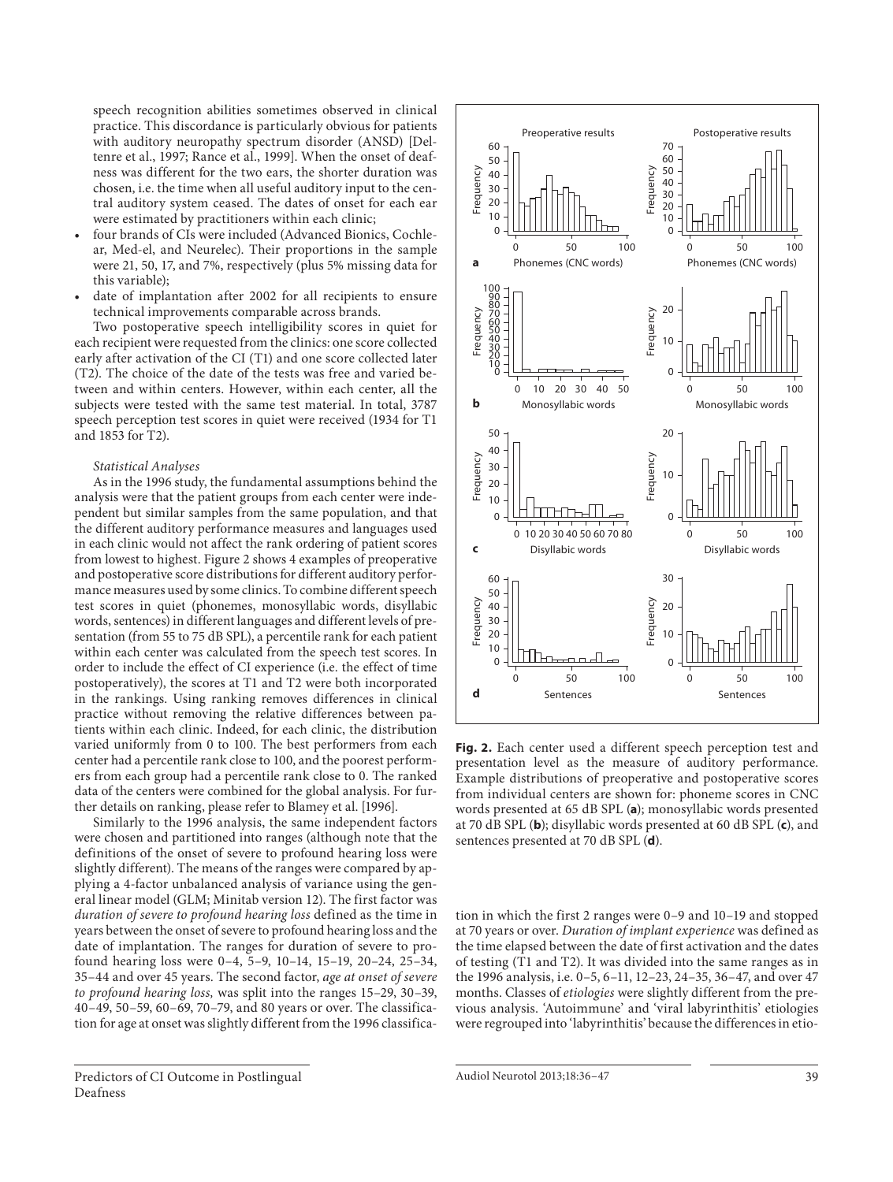speech recognition abilities sometimes observed in clinical practice. This discordance is particularly obvious for patients with auditory neuropathy spectrum disorder (ANSD) [Deltenre et al., 1997; Rance et al., 1999]. When the onset of deafness was different for the two ears, the shorter duration was chosen, i.e. the time when all useful auditory input to the central auditory system ceased. The dates of onset for each ear were estimated by practitioners within each clinic;

- four brands of CIs were included (Advanced Bionics, Cochlear, Med-el, and Neurelec). Their proportions in the sample were 21, 50, 17, and 7%, respectively (plus 5% missing data for this variable);
- date of implantation after 2002 for all recipients to ensure technical improvements comparable across brands.

 Two postoperative speech intelligibility scores in quiet for each recipient were requested from the clinics: one score collected early after activation of the CI (T1) and one score collected later (T2). The choice of the date of the tests was free and varied between and within centers. However, within each center, all the subjects were tested with the same test material. In total, 3787 speech perception test scores in quiet were received (1934 for T1 and 1853 for T2).

#### *Statistical Analyses*

 As in the 1996 study, the fundamental assumptions behind the analysis were that the patient groups from each center were independent but similar samples from the same population, and that the different auditory performance measures and languages used in each clinic would not affect the rank ordering of patient scores from lowest to highest. Figure 2 shows 4 examples of preoperative and postoperative score distributions for different auditory performance measures used by some clinics. To combine different speech test scores in quiet (phonemes, monosyllabic words, disyllabic words, sentences) in different languages and different levels of presentation (from 55 to 75 dB SPL), a percentile rank for each patient within each center was calculated from the speech test scores. In order to include the effect of CI experience (i.e. the effect of time postoperatively), the scores at T1 and T2 were both incorporated in the rankings. Using ranking removes differences in clinical practice without removing the relative differences between patients within each clinic. Indeed, for each clinic, the distribution varied uniformly from 0 to 100. The best performers from each center had a percentile rank close to 100, and the poorest performers from each group had a percentile rank close to 0. The ranked data of the centers were combined for the global analysis. For further details on ranking, please refer to Blamey et al. [1996].

 Similarly to the 1996 analysis, the same independent factors were chosen and partitioned into ranges (although note that the definitions of the onset of severe to profound hearing loss were slightly different). The means of the ranges were compared by applying a 4-factor unbalanced analysis of variance using the general linear model (GLM; Minitab version 12). The first factor was *duration of severe to profound hearing loss* defined as the time in years between the onset of severe to profound hearing loss and the date of implantation. The ranges for duration of severe to profound hearing loss were 0–4, 5–9, 10–14, 15–19, 20–24, 25–34, 35–44 and over 45 years. The second factor, *age at onset of severe to profound hearing loss,* was split into the ranges 15–29, 30–39, 40–49, 50–59, 60–69, 70–79, and 80 years or over. The classification for age at onset was slightly different from the 1996 classifica-



**Fig. 2.** Each center used a different speech perception test and presentation level as the measure of auditory performance. Example distributions of preoperative and postoperative scores from individual centers are shown for: phoneme scores in CNC words presented at 65 dB SPL (a); monosyllabic words presented at 70 dB SPL ( **b** ); disyllabic words presented at 60 dB SPL ( **c** ), and sentences presented at 70 dB SPL (**d**).

tion in which the first 2 ranges were 0–9 and 10–19 and stopped at 70 years or over. *Duration of implant experience* was defined as the time elapsed between the date of first activation and the dates of testing (T1 and T2). It was divided into the same ranges as in the 1996 analysis, i.e. 0–5, 6–11, 12–23, 24–35, 36–47, and over 47 months. Classes of *etiologies* were slightly different from the previous analysis. 'Autoimmune' and 'viral labyrinthitis' etiologies were regrouped into 'labyrinthitis' because the differences in etio-

Audiol Neurotol 2013;18:36–47 39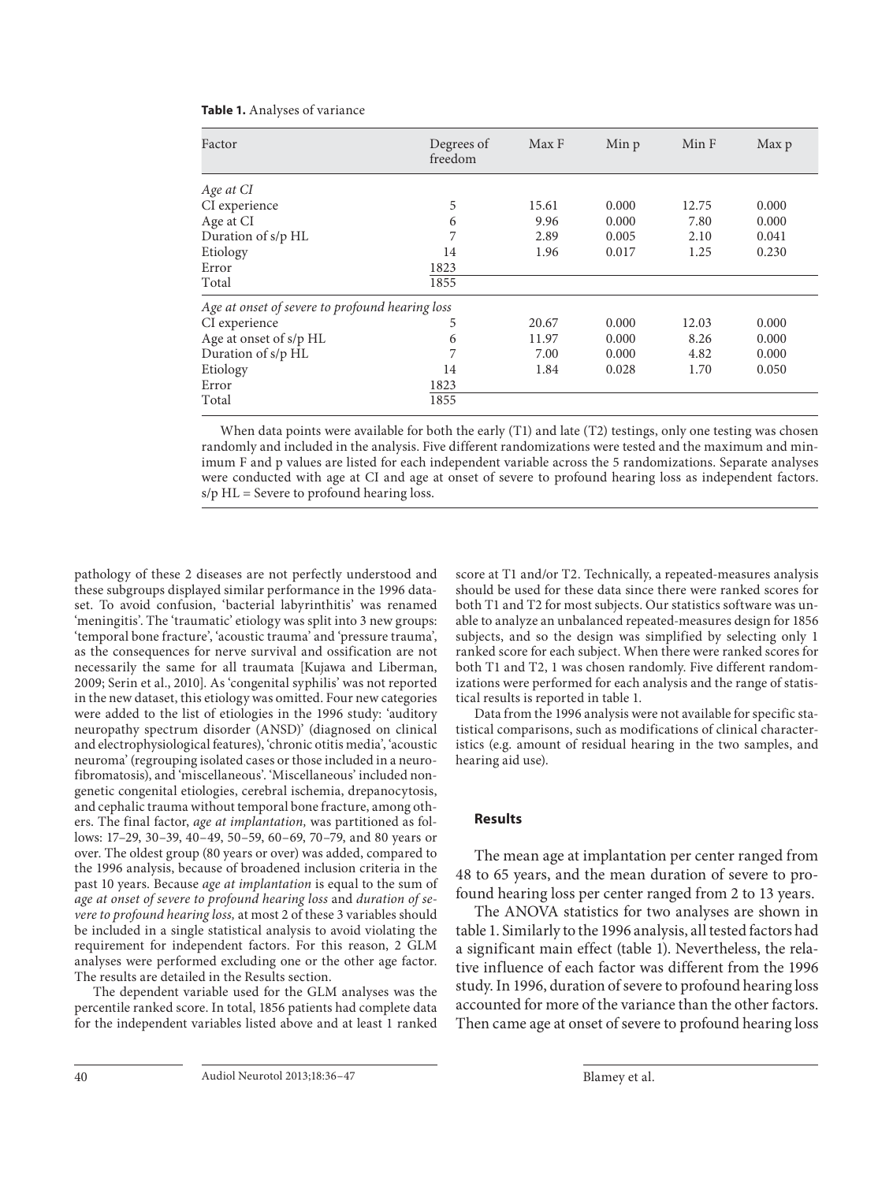| Factor                                          | Degrees of<br>freedom | Max F | Min p | Min F | Max p |
|-------------------------------------------------|-----------------------|-------|-------|-------|-------|
| Age at CI                                       |                       |       |       |       |       |
| CI experience                                   | 5                     | 15.61 | 0.000 | 12.75 | 0.000 |
| Age at CI                                       | 6                     | 9.96  | 0.000 | 7.80  | 0.000 |
| Duration of s/p HL                              | 7                     | 2.89  | 0.005 | 2.10  | 0.041 |
| Etiology                                        | 14                    | 1.96  | 0.017 | 1.25  | 0.230 |
| Error                                           | 1823                  |       |       |       |       |
| Total                                           | 1855                  |       |       |       |       |
| Age at onset of severe to profound hearing loss |                       |       |       |       |       |
| CI experience                                   | 5                     | 20.67 | 0.000 | 12.03 | 0.000 |
| Age at onset of s/p HL                          | 6                     | 11.97 | 0.000 | 8.26  | 0.000 |
| Duration of s/p HL                              | 7                     | 7.00  | 0.000 | 4.82  | 0.000 |
| Etiology                                        | 14                    | 1.84  | 0.028 | 1.70  | 0.050 |
| Error                                           | 1823                  |       |       |       |       |
| Total                                           | 1855                  |       |       |       |       |

| <b>Table 1.</b> Analyses of variance |  |  |
|--------------------------------------|--|--|
|--------------------------------------|--|--|

When data points were available for both the early (T1) and late (T2) testings, only one testing was chosen randomly and included in the analysis. Five different randomizations were tested and the maximum and minimum F and p values are listed for each independent variable across the 5 randomizations. Separate analyses were conducted with age at CI and age at onset of severe to profound hearing loss as independent factors.  $s/p$  HL = Severe to profound hearing loss.

pathology of these 2 diseases are not perfectly understood and these subgroups displayed similar performance in the 1996 dataset. To avoid confusion, 'bacterial labyrinthitis' was renamed 'meningitis'. The 'traumatic' etiology was split into 3 new groups: 'temporal bone fracture', 'acoustic trauma' and 'pressure trauma', as the consequences for nerve survival and ossification are not necessarily the same for all traumata [Kujawa and Liberman, 2009; Serin et al., 2010]. As 'congenital syphilis' was not reported in the new dataset, this etiology was omitted. Four new categories were added to the list of etiologies in the 1996 study: 'auditory neuropathy spectrum disorder (ANSD)' (diagnosed on clinical and electrophysiological features), 'chronic otitis media', 'acoustic neuroma' (regrouping isolated cases or those included in a neurofibromatosis), and 'miscellaneous'. 'Miscellaneous' included nongenetic congenital etiologies, cerebral ischemia, drepanocytosis, and cephalic trauma without temporal bone fracture, among others. The final factor, *age at implantation,* was partitioned as follows: 17–29, 30–39, 40–49, 50–59, 60–69, 70–79, and 80 years or over. The oldest group (80 years or over) was added, compared to the 1996 analysis, because of broadened inclusion criteria in the past 10 years. Because *age at implantation* is equal to the sum of *age at onset of severe to profound hearing loss* and *duration of severe to profound hearing loss,* at most 2 of these 3 variables should be included in a single statistical analysis to avoid violating the requirement for independent factors. For this reason, 2 GLM analyses were performed excluding one or the other age factor. The results are detailed in the Results section.

 The dependent variable used for the GLM analyses was the percentile ranked score. In total, 1856 patients had complete data for the independent variables listed above and at least 1 ranked score at T1 and/or T2. Technically, a repeated-measures analysis should be used for these data since there were ranked scores for both T1 and T2 for most subjects. Our statistics software was unable to analyze an unbalanced repeated-measures design for 1856 subjects, and so the design was simplified by selecting only 1 ranked score for each subject. When there were ranked scores for both T1 and T2, 1 was chosen randomly. Five different randomizations were performed for each analysis and the range of statistical results is reported in table 1.

 Data from the 1996 analysis were not available for specific statistical comparisons, such as modifications of clinical characteristics (e.g. amount of residual hearing in the two samples, and hearing aid use).

#### **Results**

 The mean age at implantation per center ranged from 48 to 65 years, and the mean duration of severe to profound hearing loss per center ranged from 2 to 13 years.

 The ANOVA statistics for two analyses are shown in table 1. Similarly to the 1996 analysis, all tested factors had a significant main effect (table 1). Nevertheless, the relative influence of each factor was different from the 1996 study. In 1996, duration of severe to profound hearing loss accounted for more of the variance than the other factors. Then came age at onset of severe to profound hearing loss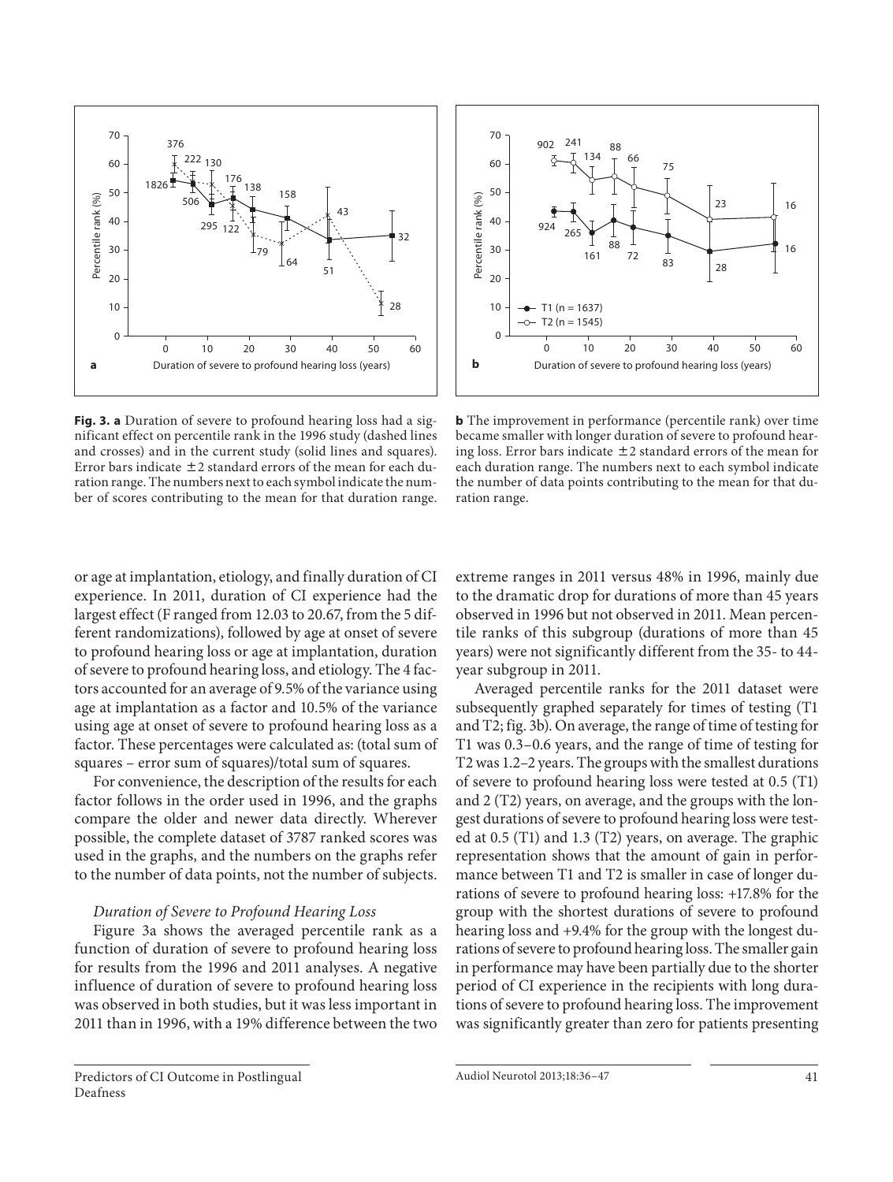

**Fig. 3. a** Duration of severe to profound hearing loss had a significant effect on percentile rank in the 1996 study (dashed lines and crosses) and in the current study (solid lines and squares). Error bars indicate  $\pm 2$  standard errors of the mean for each duration range. The numbers next to each symbol indicate the number of scores contributing to the mean for that duration range.



**b** The improvement in performance (percentile rank) over time became smaller with longer duration of severe to profound hearing loss. Error bars indicate  $\pm 2$  standard errors of the mean for each duration range. The numbers next to each symbol indicate the number of data points contributing to the mean for that duration range.

or age at implantation, etiology, and finally duration of CI experience. In 2011, duration of CI experience had the largest effect (F ranged from 12.03 to 20.67, from the 5 different randomizations), followed by age at onset of severe to profound hearing loss or age at implantation, duration of severe to profound hearing loss, and etiology. The 4 factors accounted for an average of 9.5% of the variance using age at implantation as a factor and 10.5% of the variance using age at onset of severe to profound hearing loss as a factor. These percentages were calculated as: (total sum of squares – error sum of squares)/total sum of squares.

 For convenience, the description of the results for each factor follows in the order used in 1996, and the graphs compare the older and newer data directly. Wherever possible, the complete dataset of 3787 ranked scores was used in the graphs, and the numbers on the graphs refer to the number of data points, not the number of subjects.

## *Duration of Severe to Profound Hearing Loss*

Figure 3a shows the averaged percentile rank as a function of duration of severe to profound hearing loss for results from the 1996 and 2011 analyses. A negative influence of duration of severe to profound hearing loss was observed in both studies, but it was less important in 2011 than in 1996, with a 19% difference between the two extreme ranges in 2011 versus 48% in 1996, mainly due to the dramatic drop for durations of more than 45 years observed in 1996 but not observed in 2011. Mean percentile ranks of this subgroup (durations of more than 45 years) were not significantly different from the 35- to 44 year subgroup in 2011.

 Averaged percentile ranks for the 2011 dataset were subsequently graphed separately for times of testing (T1 and T2; fig. 3b). On average, the range of time of testing for T1 was 0.3–0.6 years, and the range of time of testing for T2 was 1.2–2 years. The groups with the smallest durations of severe to profound hearing loss were tested at 0.5 (T1) and 2 (T2) years, on average, and the groups with the longest durations of severe to profound hearing loss were tested at 0.5 (T1) and 1.3 (T2) years, on average. The graphic representation shows that the amount of gain in performance between T1 and T2 is smaller in case of longer durations of severe to profound hearing loss: +17.8% for the group with the shortest durations of severe to profound hearing loss and +9.4% for the group with the longest durations of severe to profound hearing loss. The smaller gain in performance may have been partially due to the shorter period of CI experience in the recipients with long durations of severe to profound hearing loss. The improvement was significantly greater than zero for patients presenting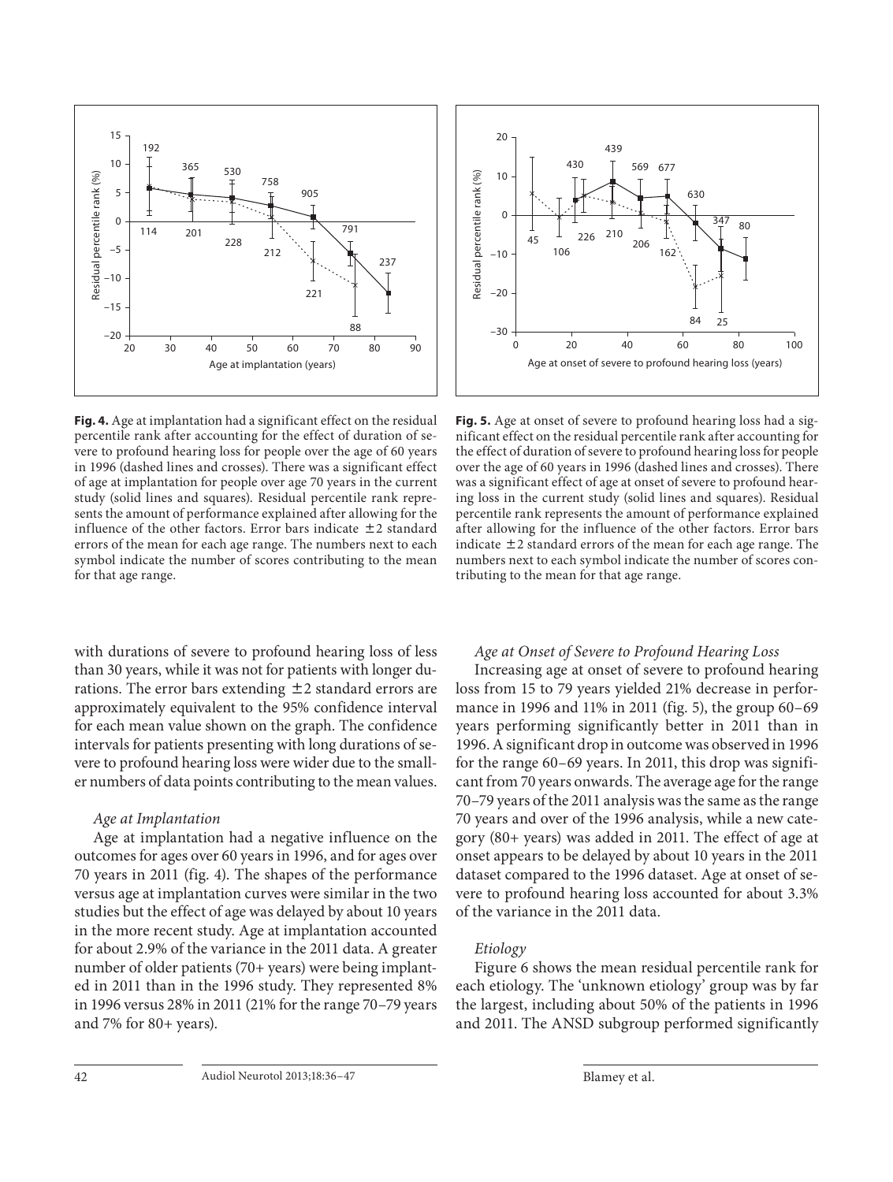

**Fig. 4.** Age at implantation had a significant effect on the residual percentile rank after accounting for the effect of duration of severe to profound hearing loss for people over the age of 60 years in 1996 (dashed lines and crosses). There was a significant effect of age at implantation for people over age 70 years in the current study (solid lines and squares). Residual percentile rank represents the amount of performance explained after allowing for the influence of the other factors. Error bars indicate  $\pm 2$  standard errors of the mean for each age range. The numbers next to each symbol indicate the number of scores contributing to the mean for that age range.

with durations of severe to profound hearing loss of less than 30 years, while it was not for patients with longer durations. The error bars extending  $\pm 2$  standard errors are approximately equivalent to the 95% confidence interval for each mean value shown on the graph. The confidence intervals for patients presenting with long durations of severe to profound hearing loss were wider due to the smaller numbers of data points contributing to the mean values.

## *Age at Implantation*

 Age at implantation had a negative influence on the outcomes for ages over 60 years in 1996, and for ages over 70 years in 2011 (fig. 4). The shapes of the performance versus age at implantation curves were similar in the two studies but the effect of age was delayed by about 10 years in the more recent study. Age at implantation accounted for about 2.9% of the variance in the 2011 data. A greater number of older patients (70+ years) were being implanted in 2011 than in the 1996 study. They represented 8% in 1996 versus 28% in 2011 (21% for the range 70–79 years and 7% for 80+ years).



**Fig. 5.** Age at onset of severe to profound hearing loss had a significant effect on the residual percentile rank after accounting for the effect of duration of severe to profound hearing loss for people over the age of 60 years in 1996 (dashed lines and crosses). There was a significant effect of age at onset of severe to profound hearing loss in the current study (solid lines and squares). Residual percentile rank represents the amount of performance explained after allowing for the influence of the other factors. Error bars indicate  $\pm 2$  standard errors of the mean for each age range. The numbers next to each symbol indicate the number of scores contributing to the mean for that age range.

#### *Age at Onset of Severe to Profound Hearing Loss*

 Increasing age at onset of severe to profound hearing loss from 15 to 79 years yielded 21% decrease in performance in 1996 and 11% in 2011 (fig. 5), the group 60–69 years performing significantly better in 2011 than in 1996. A significant drop in outcome was observed in 1996 for the range 60–69 years. In 2011, this drop was significant from 70 years onwards. The average age for the range 70–79 years of the 2011 analysis was the same as the range 70 years and over of the 1996 analysis, while a new category (80+ years) was added in 2011. The effect of age at onset appears to be delayed by about 10 years in the 2011 dataset compared to the 1996 dataset. Age at onset of severe to profound hearing loss accounted for about 3.3% of the variance in the 2011 data.

## *Etiology*

 Figure 6 shows the mean residual percentile rank for each etiology. The 'unknown etiology' group was by far the largest, including about 50% of the patients in 1996 and 2011. The ANSD subgroup performed significantly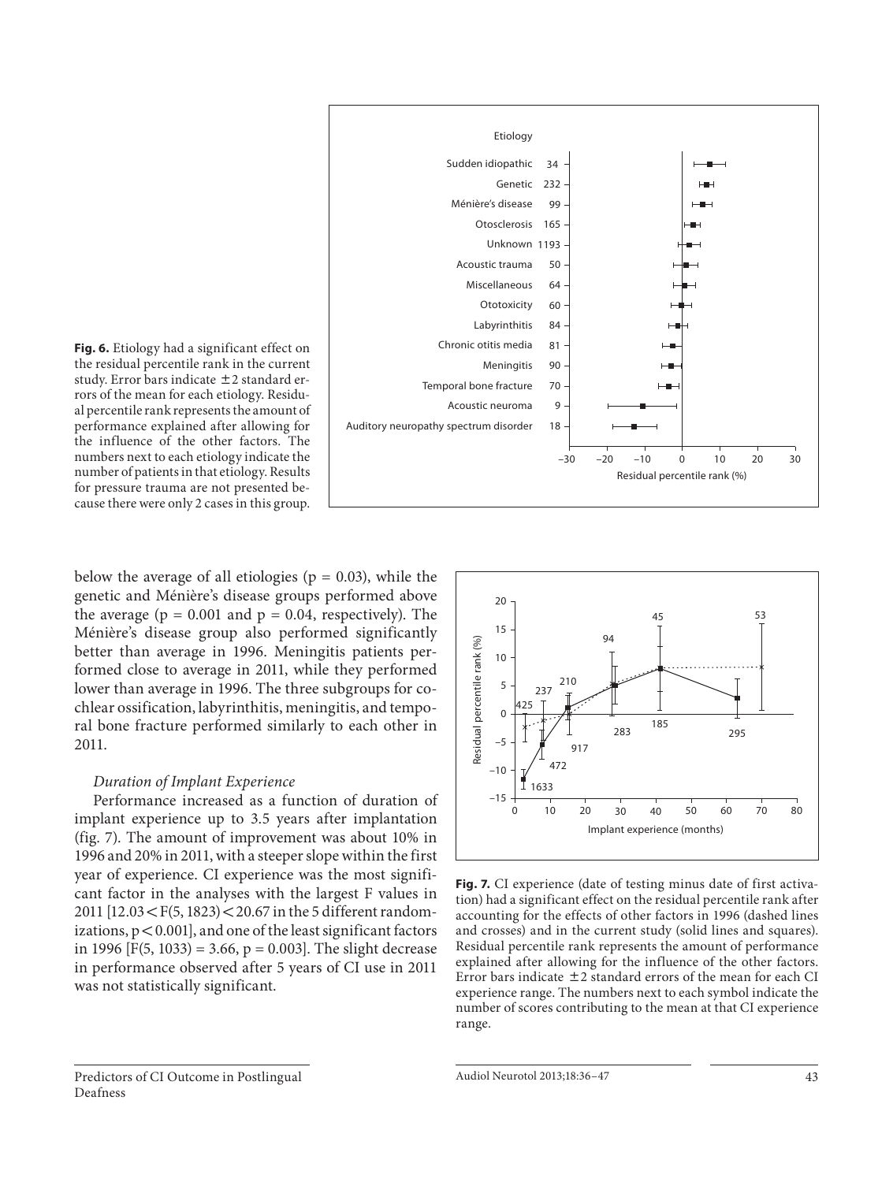

**Fig. 6.** Etiology had a significant effect on the residual percentile rank in the current study. Error bars indicate  $\pm 2$  standard errors of the mean for each etiology. Residual percentile rank represents the amount of performance explained after allowing for the influence of the other factors. The numbers next to each etiology indicate the number of patients in that etiology. Results for pressure trauma are not presented because there were only 2 cases in this group.

below the average of all etiologies ( $p = 0.03$ ), while the genetic and Ménière's disease groups performed above the average ( $p = 0.001$  and  $p = 0.04$ , respectively). The Ménière's disease group also performed significantly better than average in 1996. Meningitis patients performed close to average in 2011, while they performed lower than average in 1996. The three subgroups for cochlear ossification, labyrinthitis, meningitis, and temporal bone fracture performed similarly to each other in 2011.

#### *Duration of Implant Experience*

 Performance increased as a function of duration of implant experience up to 3.5 years after implantation (fig. 7). The amount of improvement was about  $10\%$  in 1996 and 20% in 2011, with a steeper slope within the first year of experience. CI experience was the most significant factor in the analyses with the largest F values in 2011  $[12.03 < F(5, 1823) < 20.67$  in the 5 different randomizations,  $p < 0.001$ ], and one of the least significant factors in 1996 [F(5, 1033) = 3.66,  $p = 0.003$ ]. The slight decrease in performance observed after 5 years of CI use in 2011 was not statistically significant.



**Fig. 7.** CI experience (date of testing minus date of first activation) had a significant effect on the residual percentile rank after accounting for the effects of other factors in 1996 (dashed lines and crosses) and in the current study (solid lines and squares). Residual percentile rank represents the amount of performance explained after allowing for the influence of the other factors. Error bars indicate  $\pm 2$  standard errors of the mean for each CI experience range. The numbers next to each symbol indicate the number of scores contributing to the mean at that CI experience range.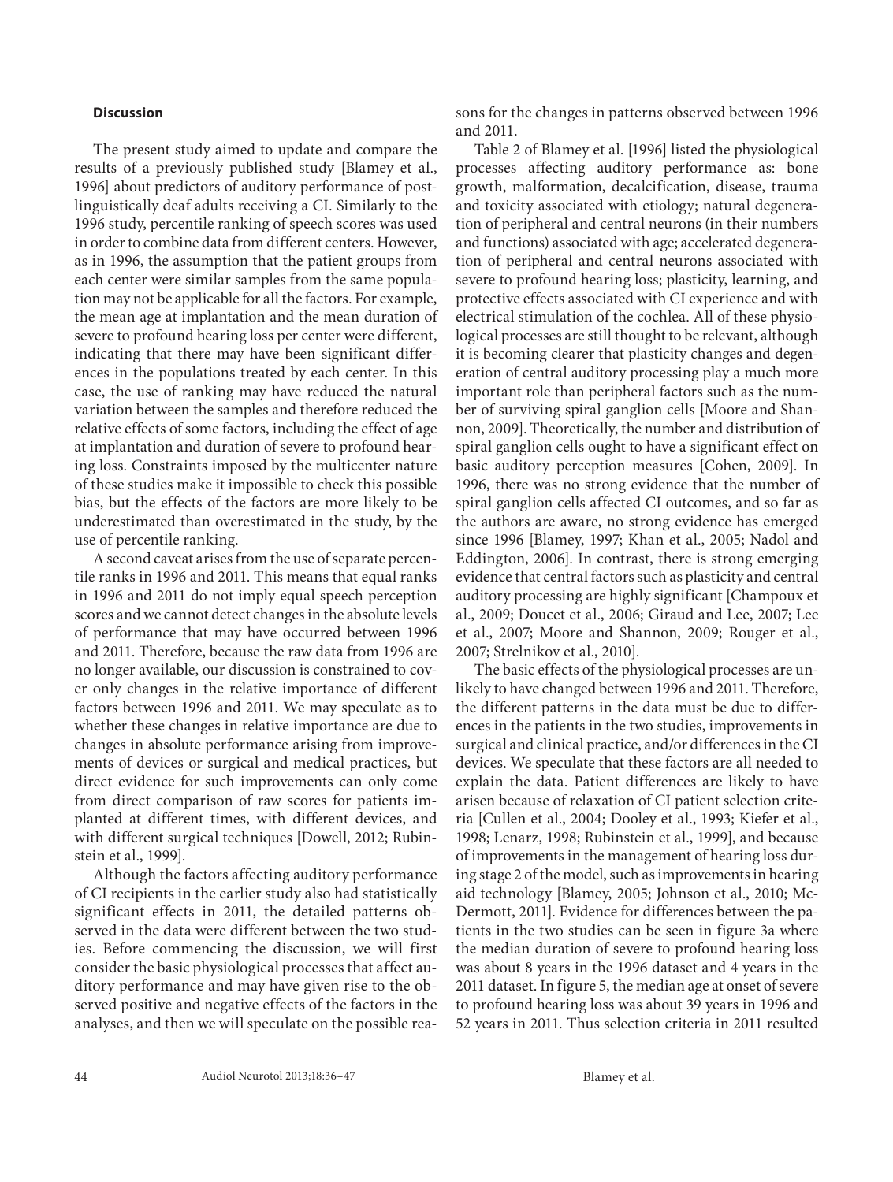#### **Discussion**

 The present study aimed to update and compare the results of a previously published study [Blamey et al., 1996] about predictors of auditory performance of postlinguistically deaf adults receiving a CI. Similarly to the 1996 study, percentile ranking of speech scores was used in order to combine data from different centers. However, as in 1996, the assumption that the patient groups from each center were similar samples from the same population may not be applicable for all the factors. For example, the mean age at implantation and the mean duration of severe to profound hearing loss per center were different, indicating that there may have been significant differences in the populations treated by each center. In this case, the use of ranking may have reduced the natural variation between the samples and therefore reduced the relative effects of some factors, including the effect of age at implantation and duration of severe to profound hearing loss. Constraints imposed by the multicenter nature of these studies make it impossible to check this possible bias, but the effects of the factors are more likely to be underestimated than overestimated in the study, by the use of percentile ranking.

 A second caveat arises from the use of separate percentile ranks in 1996 and 2011. This means that equal ranks in 1996 and 2011 do not imply equal speech perception scores and we cannot detect changes in the absolute levels of performance that may have occurred between 1996 and 2011. Therefore, because the raw data from 1996 are no longer available, our discussion is constrained to cover only changes in the relative importance of different factors between 1996 and 2011. We may speculate as to whether these changes in relative importance are due to changes in absolute performance arising from improvements of devices or surgical and medical practices, but direct evidence for such improvements can only come from direct comparison of raw scores for patients implanted at different times, with different devices, and with different surgical techniques [Dowell, 2012; Rubinstein et al., 1999].

 Although the factors affecting auditory performance of CI recipients in the earlier study also had statistically significant effects in 2011, the detailed patterns observed in the data were different between the two studies. Before commencing the discussion, we will first consider the basic physiological processes that affect auditory performance and may have given rise to the observed positive and negative effects of the factors in the analyses, and then we will speculate on the possible reasons for the changes in patterns observed between 1996 and 2011.

 Table 2 of Blamey et al. [1996] listed the physiological processes affecting auditory performance as: bone growth, malformation, decalcification, disease, trauma and toxicity associated with etiology; natural degeneration of peripheral and central neurons (in their numbers and functions) associated with age; accelerated degeneration of peripheral and central neurons associated with severe to profound hearing loss; plasticity, learning, and protective effects associated with CI experience and with electrical stimulation of the cochlea. All of these physiological processes are still thought to be relevant, although it is becoming clearer that plasticity changes and degeneration of central auditory processing play a much more important role than peripheral factors such as the number of surviving spiral ganglion cells [Moore and Shannon, 2009]. Theoretically, the number and distribution of spiral ganglion cells ought to have a significant effect on basic auditory perception measures [Cohen, 2009]. In 1996, there was no strong evidence that the number of spiral ganglion cells affected CI outcomes, and so far as the authors are aware, no strong evidence has emerged since 1996 [Blamey, 1997; Khan et al., 2005; Nadol and Eddington, 2006]. In contrast, there is strong emerging evidence that central factors such as plasticity and central auditory processing are highly significant [Champoux et al., 2009; Doucet et al., 2006; Giraud and Lee, 2007; Lee et al., 2007; Moore and Shannon, 2009; Rouger et al., 2007; Strelnikov et al., 2010].

 The basic effects of the physiological processes are unlikely to have changed between 1996 and 2011. Therefore, the different patterns in the data must be due to differences in the patients in the two studies, improvements in surgical and clinical practice, and/or differences in the CI devices. We speculate that these factors are all needed to explain the data. Patient differences are likely to have arisen because of relaxation of CI patient selection criteria [Cullen et al., 2004; Dooley et al., 1993; Kiefer et al., 1998; Lenarz, 1998; Rubinstein et al., 1999], and because of improvements in the management of hearing loss during stage 2 of the model, such as improvements in hearing aid technology [Blamey, 2005; Johnson et al., 2010; Mc-Dermott, 2011]. Evidence for differences between the patients in the two studies can be seen in figure 3a where the median duration of severe to profound hearing loss was about 8 years in the 1996 dataset and 4 years in the 2011 dataset. In figure 5 , the median age at onset of severe to profound hearing loss was about 39 years in 1996 and 52 years in 2011. Thus selection criteria in 2011 resulted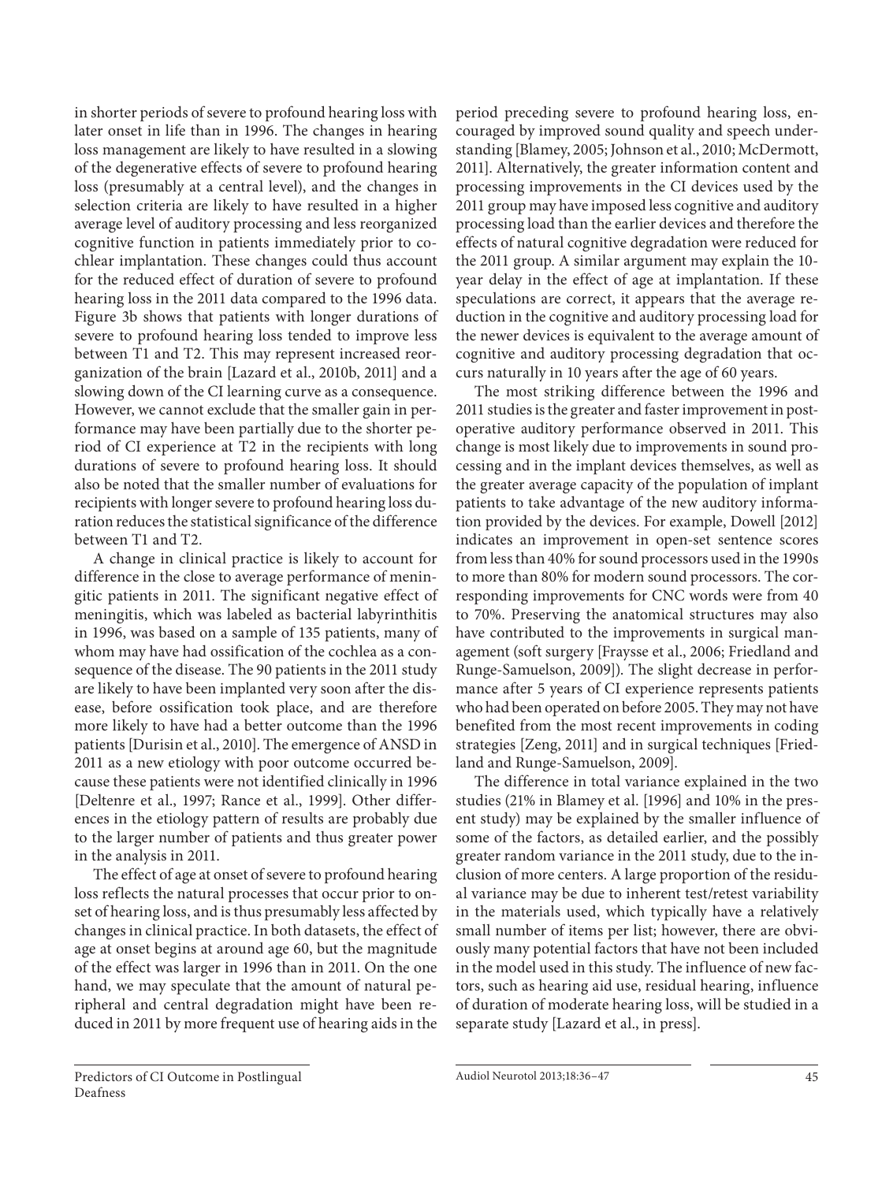in shorter periods of severe to profound hearing loss with later onset in life than in 1996. The changes in hearing loss management are likely to have resulted in a slowing of the degenerative effects of severe to profound hearing loss (presumably at a central level), and the changes in selection criteria are likely to have resulted in a higher average level of auditory processing and less reorganized cognitive function in patients immediately prior to cochlear implantation. These changes could thus account for the reduced effect of duration of severe to profound hearing loss in the 2011 data compared to the 1996 data. Figure 3b shows that patients with longer durations of severe to profound hearing loss tended to improve less between T1 and T2. This may represent increased reorganization of the brain [Lazard et al., 2010b, 2011] and a slowing down of the CI learning curve as a consequence. However, we cannot exclude that the smaller gain in performance may have been partially due to the shorter period of CI experience at T2 in the recipients with long durations of severe to profound hearing loss. It should also be noted that the smaller number of evaluations for recipients with longer severe to profound hearing loss duration reduces the statistical significance of the difference between T1 and T2.

 A change in clinical practice is likely to account for difference in the close to average performance of meningitic patients in 2011. The significant negative effect of meningitis, which was labeled as bacterial labyrinthitis in 1996, was based on a sample of 135 patients, many of whom may have had ossification of the cochlea as a consequence of the disease. The 90 patients in the 2011 study are likely to have been implanted very soon after the disease, before ossification took place, and are therefore more likely to have had a better outcome than the 1996 patients [Durisin et al., 2010]. The emergence of ANSD in 2011 as a new etiology with poor outcome occurred because these patients were not identified clinically in 1996 [Deltenre et al., 1997; Rance et al., 1999]. Other differences in the etiology pattern of results are probably due to the larger number of patients and thus greater power in the analysis in 2011.

 The effect of age at onset of severe to profound hearing loss reflects the natural processes that occur prior to onset of hearing loss, and is thus presumably less affected by changes in clinical practice. In both datasets, the effect of age at onset begins at around age 60, but the magnitude of the effect was larger in 1996 than in 2011. On the one hand, we may speculate that the amount of natural peripheral and central degradation might have been reduced in 2011 by more frequent use of hearing aids in the

period preceding severe to profound hearing loss, encouraged by improved sound quality and speech understanding [Blamey, 2005; Johnson et al., 2010; McDermott, 2011]. Alternatively, the greater information content and processing improvements in the CI devices used by the 2011 group may have imposed less cognitive and auditory processing load than the earlier devices and therefore the effects of natural cognitive degradation were reduced for the 2011 group. A similar argument may explain the 10 year delay in the effect of age at implantation. If these speculations are correct, it appears that the average reduction in the cognitive and auditory processing load for the newer devices is equivalent to the average amount of cognitive and auditory processing degradation that occurs naturally in 10 years after the age of 60 years.

 The most striking difference between the 1996 and 2011 studies is the greater and faster improvement in postoperative auditory performance observed in 2011. This change is most likely due to improvements in sound processing and in the implant devices themselves, as well as the greater average capacity of the population of implant patients to take advantage of the new auditory information provided by the devices. For example, Dowell [2012] indicates an improvement in open-set sentence scores from less than 40% for sound processors used in the 1990s to more than 80% for modern sound processors. The corresponding improvements for CNC words were from 40 to 70%. Preserving the anatomical structures may also have contributed to the improvements in surgical management (soft surgery [Fraysse et al., 2006; Friedland and Runge-Samuelson, 2009]). The slight decrease in performance after 5 years of CI experience represents patients who had been operated on before 2005. They may not have benefited from the most recent improvements in coding strategies [Zeng, 2011] and in surgical techniques [Friedland and Runge-Samuelson, 2009].

 The difference in total variance explained in the two studies (21% in Blamey et al. [1996] and 10% in the present study) may be explained by the smaller influence of some of the factors, as detailed earlier, and the possibly greater random variance in the 2011 study, due to the inclusion of more centers. A large proportion of the residual variance may be due to inherent test/retest variability in the materials used, which typically have a relatively small number of items per list; however, there are obviously many potential factors that have not been included in the model used in this study. The influence of new factors, such as hearing aid use, residual hearing, influence of duration of moderate hearing loss, will be studied in a separate study [Lazard et al., in press].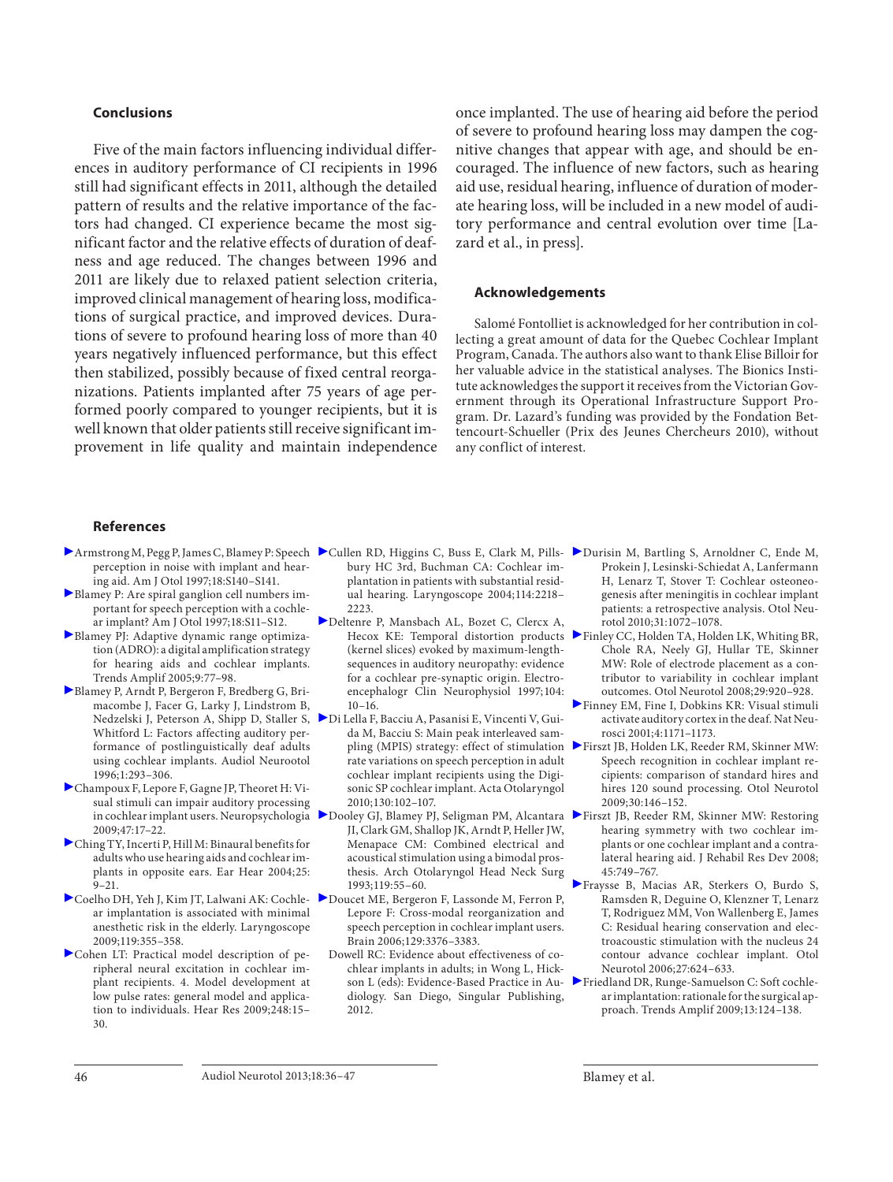#### **Conclusions**

 Five of the main factors influencing individual differences in auditory performance of CI recipients in 1996 still had significant effects in 2011, although the detailed pattern of results and the relative importance of the factors had changed. CI experience became the most significant factor and the relative effects of duration of deafness and age reduced. The changes between 1996 and 2011 are likely due to relaxed patient selection criteria, improved clinical management of hearing loss, modifications of surgical practice, and improved devices. Durations of severe to profound hearing loss of more than 40 years negatively influenced performance, but this effect then stabilized, possibly because of fixed central reorganizations. Patients implanted after 75 years of age performed poorly compared to younger recipients, but it is well known that older patients still receive significant improvement in life quality and maintain independence

once implanted. The use of hearing aid before the period of severe to profound hearing loss may dampen the cognitive changes that appear with age, and should be encouraged. The influence of new factors, such as hearing aid use, residual hearing, influence of duration of moderate hearing loss, will be included in a new model of auditory performance and central evolution over time [Lazard et al., in press].

#### **Acknowledgements**

 Salomé Fontolliet is acknowledged for her contribution in collecting a great amount of data for the Quebec Cochlear Implant Program, Canada. The authors also want to thank Elise Billoir for her valuable advice in the statistical analyses. The Bionics Institute acknowledges the support it receives from the Victorian Government through its Operational Infrastructure Support Program. Dr. Lazard's funding was provided by the Fondation Bettencourt-Schueller (Prix des Jeunes Chercheurs 2010), without any conflict of interest.

#### **References**

- perception in noise with implant and hearing aid. Am J Otol 1997;18:S140–S141.
- Blamey P: Are spiral ganglion cell numbers important for speech perception with a cochlear implant? Am J Otol 1997;18:S11–S12.
- Blamey PJ: Adaptive dynamic range optimization (ADRO): a digital amplification strategy for hearing aids and cochlear implants. Trends Amplif 2005;9:77–98.
- Blamey P, Arndt P, Bergeron F, Bredberg G, Brimacombe J, Facer G, Larky J, Lindstrom B, Whitford L: Factors affecting auditory performance of postlinguistically deaf adults using cochlear implants. Audiol Neurootol 1996;1:293–306.
- Champoux F, Lepore F, Gagne JP, Theoret H: Visual stimuli can impair auditory processing 2009;47:17–22.
- Ching TY, Incerti P, Hill M: Binaural benefits for adults who use hearing aids and cochlear implants in opposite ears. Ear Hear 2004;25:  $9 - 21$ .
- ar implantation is associated with minimal anesthetic risk in the elderly. Laryngoscope 2009;119:355–358.
- Cohen LT: Practical model description of peripheral neural excitation in cochlear implant recipients. 4. Model development at low pulse rates: general model and application to individuals. Hear Res 2009;248:15– 30.
- bury HC 3rd, Buchman CA: Cochlear implantation in patients with substantial residual hearing. Laryngoscope 2004;114:2218– 2223.
- Deltenre P, Mansbach AL, Bozet C, Clercx A, (kernel slices) evoked by maximum-lengthsequences in auditory neuropathy: evidence for a cochlear pre-synaptic origin. Electroencephalogr Clin Neurophysiol 1997; 104: 10–16.
- Nedzelski J, Peterson A, Shipp D, Staller S, Di Lella F, Bacciu A, Pasanisi E, Vincenti V, Guida M, Bacciu S: Main peak interleaved samrate variations on speech perception in adult cochlear implant recipients using the Digisonic SP cochlear implant. Acta Otolaryngol 2010;130:102–107.
- in cochlear implant users. Neuropsychologia ▶Dooley GJ, Blamey PJ, Seligman PM, Alcantara ▶Firszt JB, Reeder RM, Skinner MW: Restoring JI, Clark GM, Shallop JK, Arndt P, Heller JW, Menapace CM: Combined electrical and acoustical stimulation using a bimodal prosthesis. Arch Otolaryngol Head Neck Surg 1993;119:55–60.
- Coelho DH, Yeh J, Kim JT, Lalwani AK: Cochle- Doucet ME, Bergeron F, Lassonde M, Ferron P, Lepore F: Cross-modal reorganization and speech perception in cochlear implant users. Brain 2006;129:3376–3383.
	- Dowell RC: Evidence about effectiveness of cochlear implants in adults; in Wong L, Hickdiology. San Diego, Singular Publishing,  $2012$
- Armstrong M, Pegg P, James C, Blamey P: Speech Cullen RD, Higgins C, Buss E, Clark M, Pills- Durisin M, Bartling S, Arnoldner C, Ende M, Prokein J, Lesinski-Schiedat A, Lanfermann H, Lenarz T, Stover T: Cochlear osteoneogenesis after meningitis in cochlear implant patients: a retrospective analysis. Otol Neurotol 2010;31:1072–1078.
	- Hecox KE: Temporal distortion products Finley CC, Holden TA, Holden LK, Whiting BR, Chole RA, Neely GJ, Hullar TE, Skinner MW: Role of electrode placement as a contributor to variability in cochlear implant outcomes. Otol Neurotol 2008;29:920–928.
		- Finney EM, Fine I, Dobkins KR: Visual stimuli activate auditory cortex in the deaf. Nat Neurosci 2001;4:1171–1173.
	- pling (MPIS) strategy: effect of stimulation Firszt JB, Holden LK, Reeder RM, Skinner MW: Speech recognition in cochlear implant recipients: comparison of standard hires and hires 120 sound processing. Otol Neurotol 2009;30:146–152.
		- hearing symmetry with two cochlear implants or one cochlear implant and a contralateral hearing aid. J Rehabil Res Dev 2008; 45:749–767.
		- Fraysse B, Macias AR, Sterkers O, Burdo S, Ramsden R, Deguine O, Klenzner T, Lenarz T, Rodriguez MM, Von Wallenberg E, James C: Residual hearing conservation and electroacoustic stimulation with the nucleus 24 contour advance cochlear implant. Otol Neurotol 2006;27:624–633.
	- son L (eds): Evidence-Based Practice in Au- Friedland DR, Runge-Samuelson C: Soft cochlear implantation: rationale for the surgical approach. Trends Amplif 2009;13:124–138.